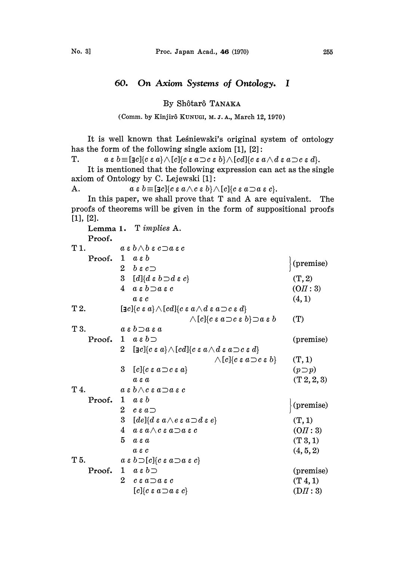## 60. On Axiom Systems of Ontology. I

By Sh6tar6 TANAKA

(Comm. by Kinjirô KUNUGI, M. J. A., March 12, 1970)

It is well known that Leśniewski's original system of ontology has the form of the following single axiom [1], [2]:

T.  $a \in b \equiv [c] \{c \in a\} \wedge [c] \{c \in a \supset c \in b\} \wedge [cd] \{c \in a \wedge d \in a \supset c \in d\}.$ 

It is mentioned that the following expression can act as the single axiom of Ontology by C. Lejewski [1]:

A.  $a \in b \equiv [\exists c] \{c \in a \wedge c \in b\} \wedge [c] \{c \in a \supset a \in c\}.$ 

In this paper, we shall prove that T and A are equivalent. The proofs of theorems will be given in the form of suppositional proofs [1], [2].

|        | Lemma 1. T <i>implies</i> A.                                                                                                                           |                 |
|--------|--------------------------------------------------------------------------------------------------------------------------------------------------------|-----------------|
| Proof. |                                                                                                                                                        |                 |
| T 1.   | $a \mathrel{\varepsilon} b \wedge b \mathrel{\varepsilon} c \mathop{\supset} a \mathrel{\varepsilon} c$                                                |                 |
| Proof. | $1 \quad a \in b$                                                                                                                                      | (premise)       |
|        | $^{2}$<br>$b \epsilon c$                                                                                                                               |                 |
|        | 3 <sup>1</sup><br>$[d]{d \varepsilon b \supset d \varepsilon c}$                                                                                       | (T, 2)          |
|        | 4<br>$a \in b \neg a \in c$                                                                                                                            | (OII: 3)        |
|        | $a \varepsilon c$                                                                                                                                      | (4, 1)          |
| T 2.   | $\left[\exists c]{c\,\varepsilon\,a}\right\}\wedge\left[cd\right]\left\{c\,\varepsilon\,a\wedge d\,\varepsilon\,a\!\supset\!c\,\varepsilon\,d\right\}$ |                 |
|        | $\wedge[c]{c \in a \Rightarrow c \in b} \Rightarrow a \in b$                                                                                           | (T)             |
| T 3.   | $a \in b \supset a \in a$                                                                                                                              |                 |
| Proof. | $a \in b$ $\supset$<br>1                                                                                                                               | (premise)       |
|        | $[\exists c][c \in a] \wedge [cd][c \in a \wedge d \in a \neg c \in d]$<br>$\overline{2}$                                                              |                 |
|        | $\wedge\lbrack c\rbrack\!\!\lbrack c\mathrel{\varepsilon} a\mathop{\supset} c\mathrel{\varepsilon} b\rbrack$                                           | (T, 1)          |
|        | 3<br>$[c]{c \in a \supset c \in a}$                                                                                                                    | $(p \supset p)$ |
|        | $a \varepsilon a$                                                                                                                                      | (T 2, 2, 3)     |
| T 4.   | $a \mathrel{\varepsilon} b \wedge c \mathrel{\varepsilon} a \mathop{\supset} a \mathrel{\varepsilon} c$                                                |                 |
|        | Proof. 1 $a \varepsilon b$                                                                                                                             |                 |
|        | $2^{\circ}$<br>$c \in a \supset$                                                                                                                       | (premise)       |
|        | 3 $[de]$ { $d \varepsilon a \wedge e \varepsilon a \supset d \varepsilon e$ }                                                                          | (T, 1)          |
|        | 4<br>$a\mathrel{\varepsilon} a\wedge c\mathrel{\varepsilon} a\mathop{\supset} a\mathrel{\varepsilon} c$                                                | (OII:3)         |
|        | 5<br>$a \varepsilon a$                                                                                                                                 | (T3, 1)         |
|        | $a \varepsilon c$                                                                                                                                      | (4, 5, 2)       |
| T 5.   | $a \in b \supset [c]$ $\{c \in a \supset a \in c\}$                                                                                                    |                 |
| Proof. | 1 $a \varepsilon b$                                                                                                                                    | (premise)       |
|        | $\overline{2}$<br>$c \in a \neg a \in c$                                                                                                               | $(T_4, 1)$      |
|        | $[c]{c \in a \supset a \in c}$                                                                                                                         | (DII:3)         |
|        |                                                                                                                                                        |                 |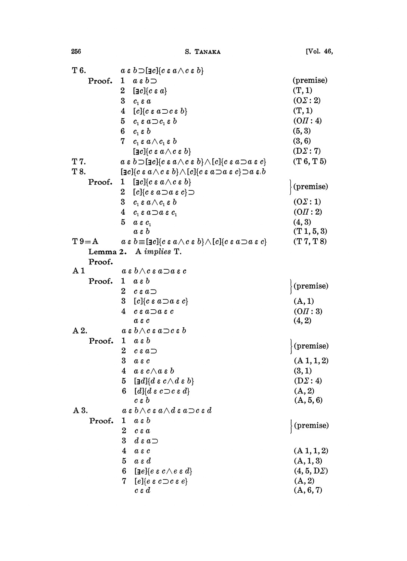| T 6.           |        |                | $a \in b \supset [\exists c] \{c \in a \wedge c \in b\}$                                                                                                                                         |                   |
|----------------|--------|----------------|--------------------------------------------------------------------------------------------------------------------------------------------------------------------------------------------------|-------------------|
|                | Proof. | $\mathbf{1}$   | $a \varepsilon b$                                                                                                                                                                                | (premise)         |
|                |        | $2-$           | $[\exists c][c \in a]$                                                                                                                                                                           | (T, 1)            |
|                |        |                | 3 $c_i \varepsilon a$                                                                                                                                                                            | $(0\Sigma:2)$     |
|                |        |                | 4 $[c]{c \in a \supset c \in b}$                                                                                                                                                                 | (T, 1)            |
|                |        |                | $5 \quad c_{\scriptscriptstyle 1}$ εα $\!\supset\! c_{\scriptscriptstyle 1}$ ε $b$                                                                                                               | (OII: 4)          |
|                |        |                | 6 $c_i \varepsilon b$                                                                                                                                                                            | (5, 3)            |
|                |        |                | 7 $c_i \varepsilon a \wedge c_i \varepsilon b$                                                                                                                                                   | (3, 6)            |
|                |        |                | $[\exists c][c\mathrel{\varepsilon} a \wedge c\mathrel{\varepsilon} b]$                                                                                                                          | $(D\Sigma:7)$     |
| T 7.           |        |                | $a \in b \supset [\exists c] \{c \in a \wedge c \in b\} \wedge [c] \{c \in a \supset a \in c\}$                                                                                                  | (T6, T5)          |
| T 8.           |        |                | $[\exists c][c\mathrel{\varepsilon} a \wedge c\mathrel{\varepsilon} b] \wedge [c][c\mathrel{\varepsilon} a \mathop{\supset} a\mathrel{\varepsilon} c] \mathop{\supset} a\mathrel{\varepsilon} b$ |                   |
|                | Proof. | $\mathbf{1}$   | $[\exists c][c \mathrel{\varepsilon} a \wedge c \mathrel{\varepsilon} b]$                                                                                                                        |                   |
|                |        | $2^{\circ}$    | $[c]{c \in a \supset a \in c}}$                                                                                                                                                                  | (premise)         |
|                |        |                | 3 $c_{\scriptscriptstyle 1}$ εα $\wedge c_{\scriptscriptstyle 1}$ ε $b$                                                                                                                          | $(0\Sigma:1)$     |
|                |        |                | 4 $c_i \varepsilon a \neg a \varepsilon c_i$                                                                                                                                                     | (OII:2)           |
|                |        | 5              | $a \varepsilon c_1$                                                                                                                                                                              | (4, 3)            |
|                |        |                | $a \varepsilon b$                                                                                                                                                                                | (T1, 5, 3)        |
| $T9 = A$       |        |                | $a \in b \equiv [\exists c] \{c \in a \wedge c \in b\} \wedge [c] \{c \in a \supset a \in c\}$                                                                                                   | (T 7, T 8)        |
|                |        |                | Lemma 2. A implies T.                                                                                                                                                                            |                   |
|                | Proof. |                |                                                                                                                                                                                                  |                   |
| A <sub>1</sub> |        |                | $a \mathrel{\varepsilon} b \wedge c \mathrel{\varepsilon} a \mathop{\supset} a \mathrel{\varepsilon} c$                                                                                          |                   |
|                | Proof. | $\mathbf{1}$   | $a \varepsilon b$                                                                                                                                                                                | (premise)         |
|                |        | 2              | $c \in a \supset$                                                                                                                                                                                |                   |
|                |        | 3.             | $[c]{c \in a \supset a \in c}$                                                                                                                                                                   | (A, 1)            |
|                |        | 4              | $c \in a \bigcirc a \in c$                                                                                                                                                                       | (OII:3)           |
|                |        |                | $a \varepsilon c$                                                                                                                                                                                | (4, 2)            |
| A 2.           |        |                | $a \in b \wedge c \in a \neg c \in b$                                                                                                                                                            |                   |
|                | Proof. | 1              | $a \varepsilon b$                                                                                                                                                                                | (premise)         |
|                |        | 2              | $c \in a \supset$                                                                                                                                                                                |                   |
|                |        | 3              | $a \varepsilon c$                                                                                                                                                                                | (A 1, 1, 2)       |
|                |        | 4              | $a \in c \wedge a \in b$                                                                                                                                                                         | (3,1)             |
|                |        | 5              | $[\mathop{\text{\rm id}}\nolimits] \{ d \mathrel{\varepsilon} c \land d \mathrel{\varepsilon} b \}$                                                                                              | $(D\Sigma: 4)$    |
|                |        | 6              | $[d]$ { $d \varepsilon c \supset c \varepsilon d$ }                                                                                                                                              | (A, 2)            |
|                |        |                | $c\mathrel{\varepsilon} b$                                                                                                                                                                       | (A, 5, 6)         |
| A 3.           |        |                | $a \mathrel{\varepsilon} b \wedge c \mathrel{\varepsilon} a \wedge d \mathrel{\varepsilon} a \!\supset \!c \mathrel{\varepsilon} d$                                                              |                   |
|                | Proof. | ı              | $a \varepsilon b$                                                                                                                                                                                | (premise)         |
|                |        | $\overline{2}$ | $c \varepsilon a$                                                                                                                                                                                |                   |
|                |        | 3              | $d \mathrel{\varepsilon} a \mathrel{\supset}$                                                                                                                                                    |                   |
|                |        | 4              | $a \varepsilon c$                                                                                                                                                                                | (A 1, 1, 2)       |
|                |        | 5              | $a \in d$                                                                                                                                                                                        | (A, 1, 3)         |
|                |        | 6              | $[\mathsf{a} e]$ $\{e \mathrel{\varepsilon} c \wedge e \mathrel{\varepsilon} d\}$                                                                                                                | $(4, 5, D\Sigma)$ |
|                |        | 7              | $[e]{e \in c \supset c \in e}$                                                                                                                                                                   | (A, 2)            |
|                |        |                | $c\mathrel{\varepsilon} d$                                                                                                                                                                       | (A, 6, 7)         |

256